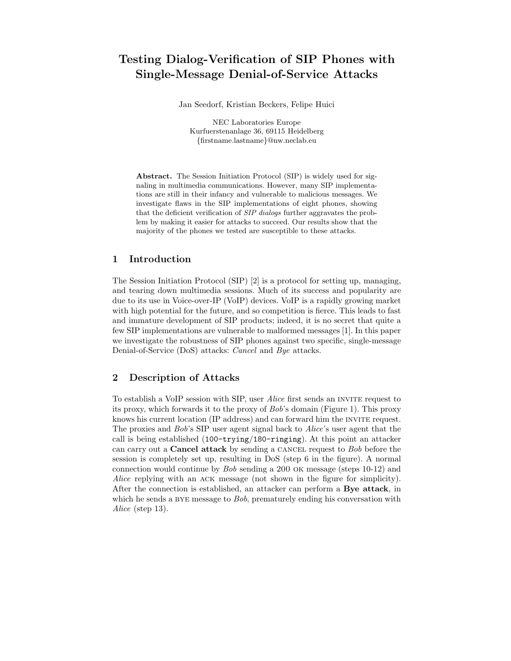# Testing Dialog-Verification of SIP Phones with Single-Message Denial-of-Service Attacks

Jan Seedorf, Kristian Beckers, Felipe Huici

NEC Laboratories Europe Kurfuerstenanlage 36, 69115 Heidelberg {firstname.lastname}@nw.neclab.eu

Abstract. The Session Initiation Protocol (SIP) is widely used for signaling in multimedia communications. However, many SIP implementations are still in their infancy and vulnerable to malicious messages. We investigate flaws in the SIP implementations of eight phones, showing that the deficient verification of SIP dialogs further aggravates the problem by making it easier for attacks to succeed. Our results show that the majority of the phones we tested are susceptible to these attacks.

## 1 Introduction

The Session Initiation Protocol (SIP) [2] is a protocol for setting up, managing, and tearing down multimedia sessions. Much of its success and popularity are due to its use in Voice-over-IP (VoIP) devices. VoIP is a rapidly growing market with high potential for the future, and so competition is fierce. This leads to fast and immature development of SIP products; indeed, it is no secret that quite a few SIP implementations are vulnerable to malformed messages [1]. In this paper we investigate the robustness of SIP phones against two specific, single-message Denial-of-Service (DoS) attacks: Cancel and Bye attacks.

## 2 Description of Attacks

To establish a VoIP session with SIP, user Alice first sends an invite request to its proxy, which forwards it to the proxy of Bob's domain (Figure 1). This proxy knows his current location (IP address) and can forward him the invite request. The proxies and Bob's SIP user agent signal back to Alice's user agent that the call is being established  $(100-$ trying $/180-$ ringing). At this point an attacker can carry out a **Cancel attack** by sending a CANCEL request to Bob before the session is completely set up, resulting in DoS (step 6 in the figure). A normal connection would continue by Bob sending a 200 ok message (steps 10-12) and Alice replying with an ack message (not shown in the figure for simplicity). After the connection is established, an attacker can perform a Bye attack, in which he sends a BYE message to Bob, prematurely ending his conversation with Alice (step 13).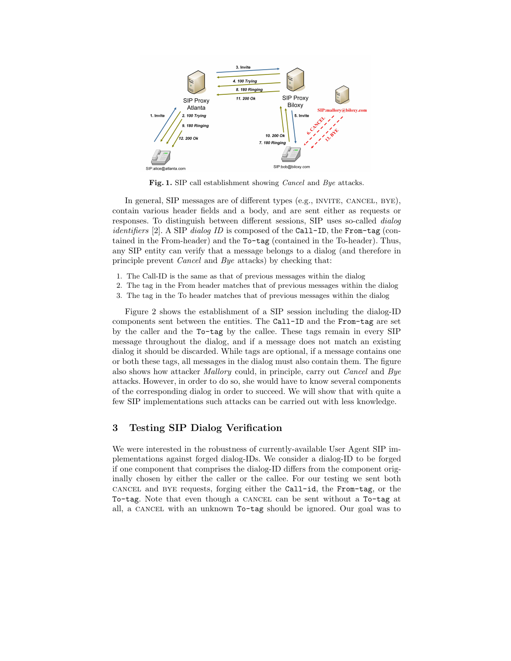

Fig. 1. SIP call establishment showing *Cancel* and *Bye* attacks.

In general, SIP messages are of different types (e.g., INVITE, CANCEL, BYE), contain various header fields and a body, and are sent either as requests or responses. To distinguish between different sessions, SIP uses so-called dialog *identifiers* [2]. A SIP *dialog ID* is composed of the Call-ID, the From-tag (contained in the From-header) and the To-tag (contained in the To-header). Thus, any SIP entity can verify that a message belongs to a dialog (and therefore in principle prevent Cancel and Bye attacks) by checking that:

- 1. The Call-ID is the same as that of previous messages within the dialog
- 2. The tag in the From header matches that of previous messages within the dialog
- 3. The tag in the To header matches that of previous messages within the dialog

Figure 2 shows the establishment of a SIP session including the dialog-ID components sent between the entities. The Call-ID and the From-tag are set by the caller and the To-tag by the callee. These tags remain in every SIP message throughout the dialog, and if a message does not match an existing dialog it should be discarded. While tags are optional, if a message contains one or both these tags, all messages in the dialog must also contain them. The figure also shows how attacker Mallory could, in principle, carry out Cancel and Bye attacks. However, in order to do so, she would have to know several components of the corresponding dialog in order to succeed. We will show that with quite a few SIP implementations such attacks can be carried out with less knowledge.

#### 3 Testing SIP Dialog Verification

We were interested in the robustness of currently-available User Agent SIP implementations against forged dialog-IDs. We consider a dialog-ID to be forged if one component that comprises the dialog-ID differs from the component originally chosen by either the caller or the callee. For our testing we sent both cancel and bye requests, forging either the Call-id, the From-tag, or the To-tag. Note that even though a cancel can be sent without a To-tag at all, a cancel with an unknown To-tag should be ignored. Our goal was to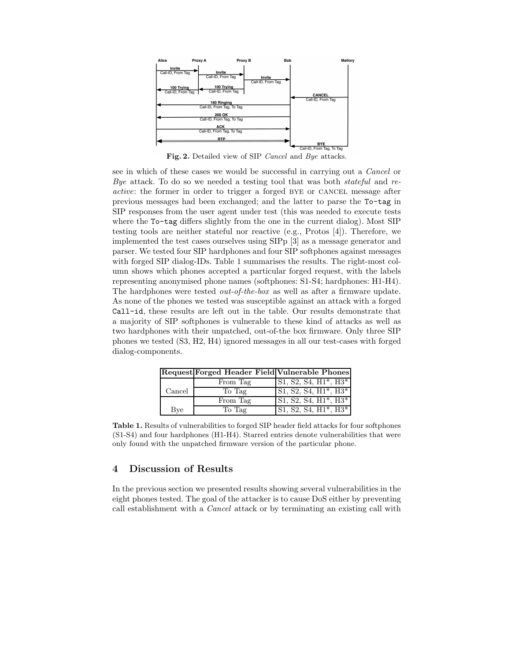

Fig. 2. Detailed view of SIP Cancel and Bye attacks.

see in which of these cases we would be successful in carrying out a Cancel or Bye attack. To do so we needed a testing tool that was both stateful and reactive: the former in order to trigger a forged bye or cancel message after previous messages had been exchanged; and the latter to parse the To-tag in SIP responses from the user agent under test (this was needed to execute tests where the To-tag differs slightly from the one in the current dialog). Most SIP testing tools are neither stateful nor reactive (e.g., Protos [4]). Therefore, we implemented the test cases ourselves using SIPp [3] as a message generator and parser. We tested four SIP hardphones and four SIP softphones against messages with forged SIP dialog-IDs. Table 1 summarises the results. The right-most column shows which phones accepted a particular forged request, with the labels representing anonymised phone names (softphones: S1-S4; hardphones: H1-H4). The hardphones were tested out-of-the-box as well as after a firmware update. As none of the phones we tested was susceptible against an attack with a forged Call-id, these results are left out in the table. Our results demonstrate that a majority of SIP softphones is vulnerable to these kind of attacks as well as two hardphones with their unpatched, out-of-the box firmware. Only three SIP phones we tested (S3, H2, H4) ignored messages in all our test-cases with forged dialog-components.

|        | Request Forged Header Field Vulnerable Phones |                                                   |
|--------|-----------------------------------------------|---------------------------------------------------|
|        | From Tag                                      | $SI, S2, S4, \overline{H1^*, H3^*}$               |
| Cancel | To Tag                                        | $SI$ , S2, S4, H1 <sup>*</sup> , H <sub>3</sub> * |
|        | From Tag                                      | $SI, S2, S4, \overline{H1^*, H3^*}$               |
| Bye    | To Tag                                        | $S1, S2, S4, H1^*, H3^*$                          |

Table 1. Results of vulnerabilities to forged SIP header field attacks for four softphones (S1-S4) and four hardphones (H1-H4). Starred entries denote vulnerabilities that were only found with the unpatched firmware version of the particular phone.

#### 4 Discussion of Results

In the previous section we presented results showing several vulnerabilities in the eight phones tested. The goal of the attacker is to cause DoS either by preventing call establishment with a Cancel attack or by terminating an existing call with